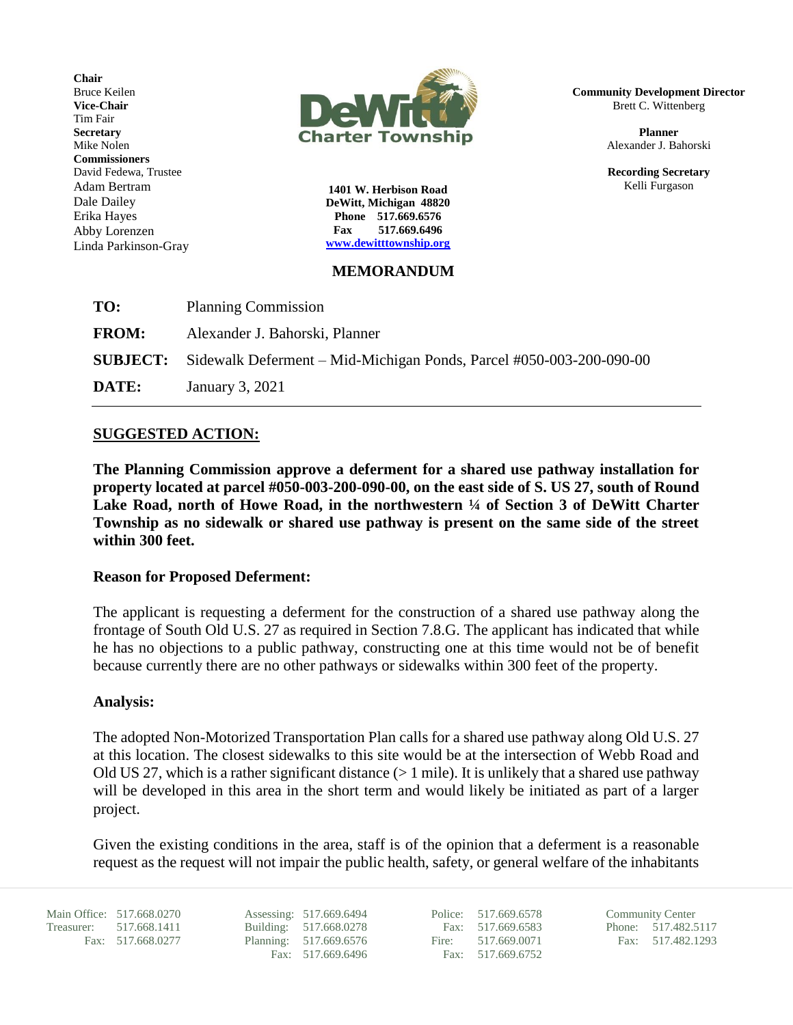**Chair** Bruce Keilen **Vice-Chair** Tim Fair **Secretary** Mike Nolen **Commissioners** David Fedewa, Trustee Adam Bertram Dale Dailey Erika Hayes Abby Lorenzen Linda Parkinson-Gray



**1401 W. Herbison Road DeWitt, Michigan 48820 Phone 517.669.6576 Fax 517.669.6496 [www.dewitttownship.org](http://www.dewitttownship.org/)**

### **MEMORANDUM**

| <b>SUBJECT:</b> Sidewalk Deferment – Mid-Michigan Ponds, Parcel #050-003-200-090-00 |
|-------------------------------------------------------------------------------------|
|                                                                                     |
|                                                                                     |

# **SUGGESTED ACTION:**

**The Planning Commission approve a deferment for a shared use pathway installation for property located at parcel #050-003-200-090-00, on the east side of S. US 27, south of Round Lake Road, north of Howe Road, in the northwestern ¼ of Section 3 of DeWitt Charter Township as no sidewalk or shared use pathway is present on the same side of the street within 300 feet.**

## **Reason for Proposed Deferment:**

The applicant is requesting a deferment for the construction of a shared use pathway along the frontage of South Old U.S. 27 as required in Section 7.8.G. The applicant has indicated that while he has no objections to a public pathway, constructing one at this time would not be of benefit because currently there are no other pathways or sidewalks within 300 feet of the property.

#### **Analysis:**

The adopted Non-Motorized Transportation Plan calls for a shared use pathway along Old U.S. 27 at this location. The closest sidewalks to this site would be at the intersection of Webb Road and Old US 27, which is a rather significant distance  $(>1$  mile). It is unlikely that a shared use pathway will be developed in this area in the short term and would likely be initiated as part of a larger project.

Given the existing conditions in the area, staff is of the opinion that a deferment is a reasonable request as the request will not impair the public health, safety, or general welfare of the inhabitants

Main Office: 517.668.0270 Assessing: 517.669.6494 Police: 517.669.6578 Community Center<br>Treasurer: 517.668.1411 Building: 517.668.0278 Fax: 517.669.6583 Phone: 517.482.5117 Treasurer: 517.668.1411 Building: 517.668.0278

Fax: 517.668.0277 Planning: 517.669.6576 Fire: 517.669.0071 Fax: 517.482.1293<br>Fax: 517.669.6496 Fax: 517.669.6752 Fax: 517.669.6752

**Community Development Director** Brett C. Wittenberg

> **Planner** Alexander J. Bahorski

> **Recording Secretary** Kelli Furgason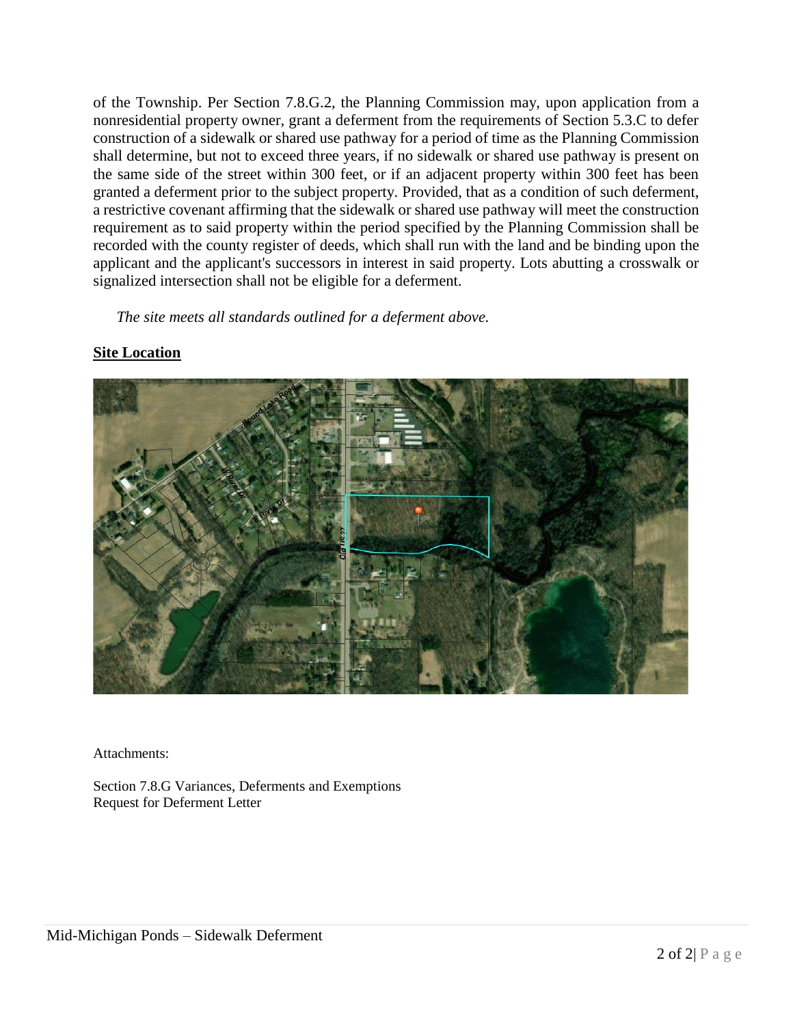of the Township. Per Section 7.8.G.2, the Planning Commission may, upon application from a nonresidential property owner, grant a deferment from the requirements of Section 5.3.C to defer construction of a sidewalk or shared use pathway for a period of time as the Planning Commission shall determine, but not to exceed three years, if no sidewalk or shared use pathway is present on the same side of the street within 300 feet, or if an adjacent property within 300 feet has been granted a deferment prior to the subject property. Provided, that as a condition of such deferment, a restrictive covenant affirming that the sidewalk or shared use pathway will meet the construction requirement as to said property within the period specified by the Planning Commission shall be recorded with the county register of deeds, which shall run with the land and be binding upon the applicant and the applicant's successors in interest in said property. Lots abutting a crosswalk or signalized intersection shall not be eligible for a deferment.

*The site meets all standards outlined for a deferment above.*

## **Site Location**



Attachments:

Section 7.8.G Variances, Deferments and Exemptions Request for Deferment Letter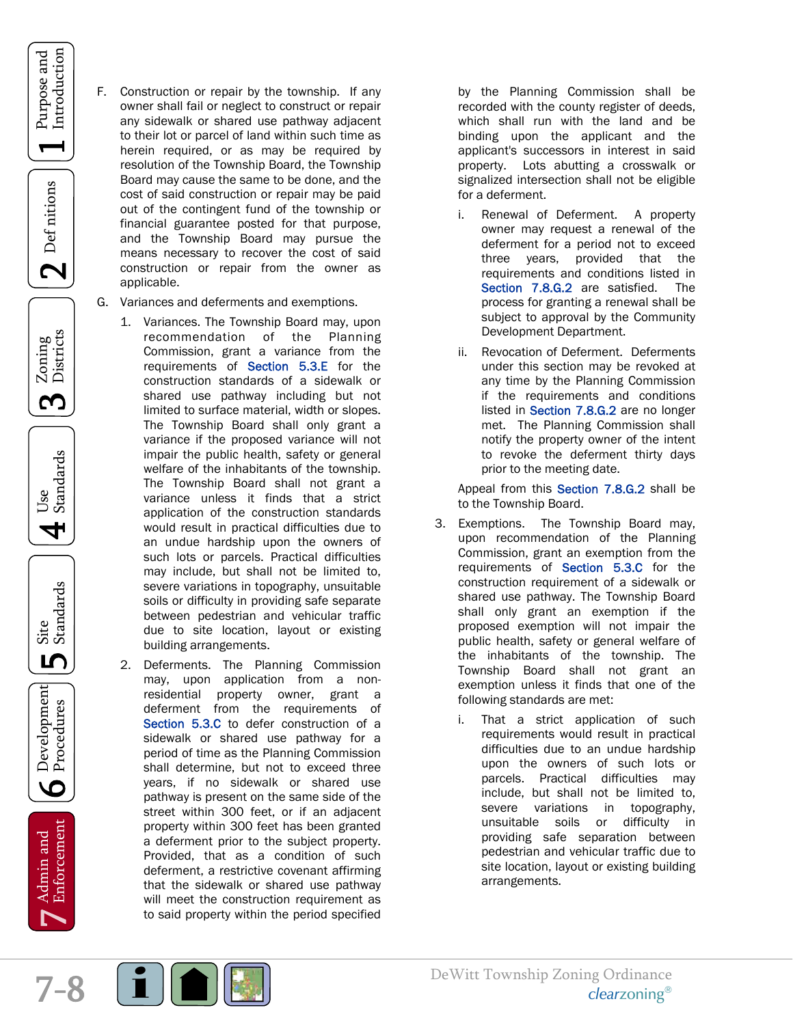- Construction or repair by the township. If any owner shall fail or neglect to construct or repair any sidewalk or shared use pathway adjacent to their lot or parcel of land within such time as herein required, or as may be required by resolution of the Township Board, the Township Board may cause the same to be done, and the cost of said construction or repair may be paid out of the contingent fund of the township or financial guarantee posted for that purpose, and the Township Board may pursue the means necessary to recover the cost of said construction or repair from the owner as applicable.
	- G. Variances and deferments and exemptions.
		- 1. Variances. The Township Board may, upon recommendation of the Planning Commission, grant a variance from the requirements of Section 5.3.E for the construction standards of a sidewalk or shared use pathway including but not limited to surface material, width or slopes. The Township Board shall only grant a variance if the proposed variance will not impair the public health, safety or general welfare of the inhabitants of the township. The Township Board shall not grant a variance unless it finds that a strict application of the construction standards would result in practical difficulties due to an undue hardship upon the owners of such lots or parcels. Practical difficulties may include, but shall not be limited to, severe variations in topography, unsuitable soils or difficulty in providing safe separate between pedestrian and vehicular traffic due to site location, layout or existing building arrangements.
		- 2. Deferments. The Planning Commission may, upon application from a nonresidential property owner, grant a deferment from the requirements of Section 5.3.C to defer construction of a sidewalk or shared use pathway for a period of time as the Planning Commission shall determine, but not to exceed three years, if no sidewalk or shared use pathway is present on the same side of the street within 300 feet, or if an adjacent property within 300 feet has been granted a deferment prior to the subject property. Provided, that as a condition of such deferment, a restrictive covenant affirming that the sidewalk or shared use pathway will meet the construction requirement as to said property within the period specified

by the Planning Commission shall be recorded with the county register of deeds, which shall run with the land and be binding upon the applicant and the applicant's successors in interest in said property. Lots abutting a crosswalk or signalized intersection shall not be eligible for a deferment.

- i. Renewal of Deferment. A property owner may request a renewal of the deferment for a period not to exceed three years, provided that the requirements and conditions listed in Section 7.8.G.2 are satisfied. The process for granting a renewal shall be subject to approval by the Community Development Department.
- ii. Revocation of Deferment. Deferments under this section may be revoked at any time by the Planning Commission if the requirements and conditions listed in Section 7.8.G.2 are no longer met. The Planning Commission shall notify the property owner of the intent to revoke the deferment thirty days prior to the meeting date.

Appeal from this Section 7.8.G.2 shall be to the Township Board.

- 3. Exemptions. The Township Board may, upon recommendation of the Planning Commission, grant an exemption from the requirements of Section 5.3.C for the construction requirement of a sidewalk or shared use pathway. The Township Board shall only grant an exemption if the proposed exemption will not impair the public health, safety or general welfare of the inhabitants of the township. The Township Board shall not grant an exemption unless it finds that one of the following standards are met:
	- i. That a strict application of such requirements would result in practical difficulties due to an undue hardship upon the owners of such lots or parcels. Practical difficulties may include, but shall not be limited to, severe variations in topography, unsuitable soils or difficulty in providing safe separation between pedestrian and vehicular traffic due to site location, layout or existing building arrangements.



Purpose and Introduction

 $\mathbf 2$  Def nitions

Zoning<br>Districts

S

Use<br>Standards

4

Site<br>Standards

ம

Development

 $\overline{6}$ 

Enforcement Admin and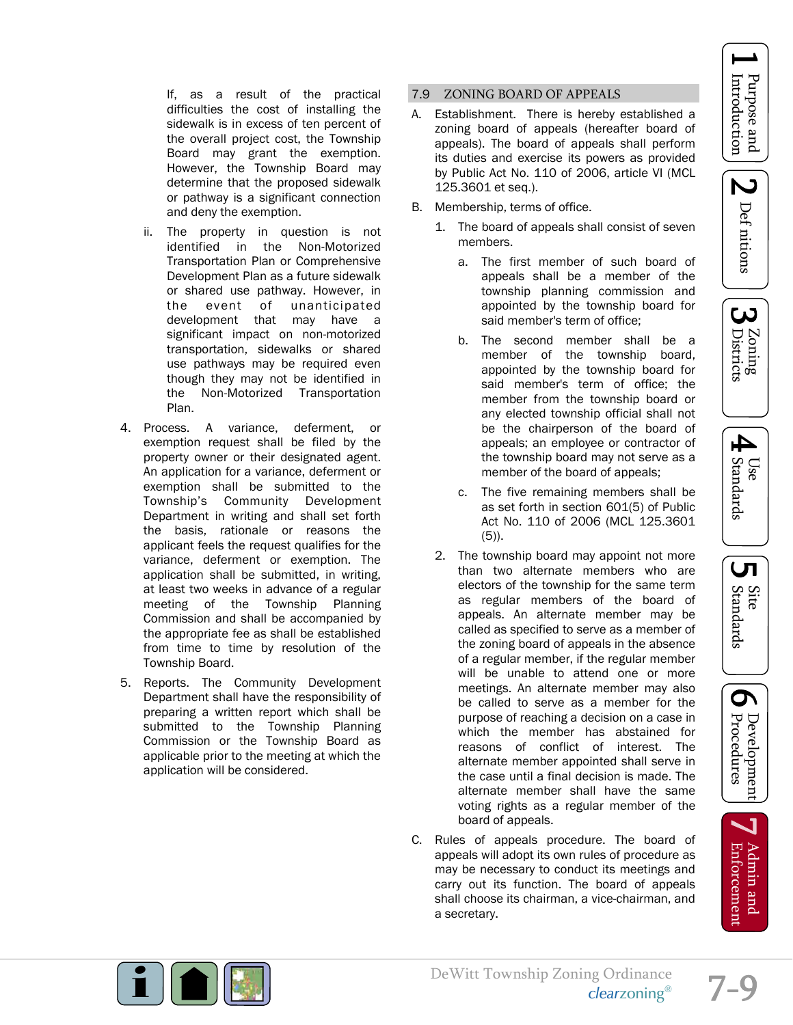Z Def nitions





UП

If, as a result of the practical difficulties the cost of installing the sidewalk is in excess of ten percent of the overall project cost, the Township Board may grant the exemption. However, the Township Board may determine that the proposed sidewalk or pathway is a significant connection and deny the exemption.

- ii. The property in question is not identified in the Non-Motorized Transportation Plan or Comprehensive Development Plan as a future sidewalk or shared use pathway. However, in<br>the event of unanticipated the event of unanticipated development that may have a significant impact on non-motorized transportation, sidewalks or shared use pathways may be required even though they may not be identified in the Non-Motorized Transportation Plan.
- 4. Process. A variance, deferment, or exemption request shall be filed by the property owner or their designated agent. An application for a variance, deferment or exemption shall be submitted to the Township's Community Development Department in writing and shall set forth the basis, rationale or reasons the applicant feels the request qualifies for the variance, deferment or exemption. The application shall be submitted, in writing, at least two weeks in advance of a regular meeting of the Township Planning Commission and shall be accompanied by the appropriate fee as shall be established from time to time by resolution of the Township Board.
- 5. Reports. The Community Development Department shall have the responsibility of preparing a written report which shall be submitted to the Township Planning Commission or the Township Board as applicable prior to the meeting at which the application will be considered.

#### 7.9 ZONING BOARD OF APPEALS

- A. Establishment. There is hereby established a zoning board of appeals (hereafter board of appeals). The board of appeals shall perform its duties and exercise its powers as provided by Public Act No. 110 of 2006, article VI (MCL 125.3601 et seq.).
- B. Membership, terms of office.
	- 1. The board of appeals shall consist of seven members.
		- a. The first member of such board of appeals shall be a member of the township planning commission and appointed by the township board for said member's term of office;
		- b. The second member shall be a member of the township board, appointed by the township board for said member's term of office; the member from the township board or any elected township official shall not be the chairperson of the board of appeals; an employee or contractor of the township board may not serve as a member of the board of appeals;
		- c. The five remaining members shall be as set forth in section 601(5) of Public Act No. 110 of 2006 (MCL 125.3601 (5)).
	- 2. The township board may appoint not more than two alternate members who are electors of the township for the same term as regular members of the board of appeals. An alternate member may be called as specified to serve as a member of the zoning board of appeals in the absence of a regular member, if the regular member will be unable to attend one or more meetings. An alternate member may also be called to serve as a member for the purpose of reaching a decision on a case in which the member has abstained for reasons of conflict of interest. The alternate member appointed shall serve in the case until a final decision is made. The alternate member shall have the same voting rights as a regular member of the board of appeals.
- C. Rules of appeals procedure. The board of appeals will adopt its own rules of procedure as may be necessary to conduct its meetings and carry out its function. The board of appeals shall choose its chairman, a vice-chairman, and a secretary.





Admin and **Enforcement**